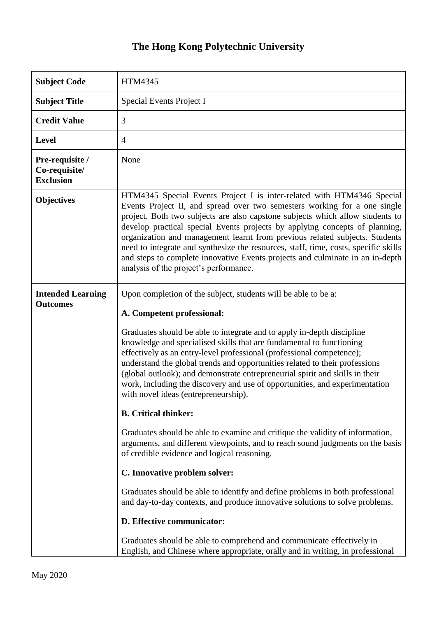## **The Hong Kong Polytechnic University**

| <b>Subject Code</b>                                  | <b>HTM4345</b>                                                                                                                                                                                                                                                                                                                                                                                                                                                                                                                                                                                                                                                                                                                                                                                                                                                                                                                                                                                                                                                                                 |
|------------------------------------------------------|------------------------------------------------------------------------------------------------------------------------------------------------------------------------------------------------------------------------------------------------------------------------------------------------------------------------------------------------------------------------------------------------------------------------------------------------------------------------------------------------------------------------------------------------------------------------------------------------------------------------------------------------------------------------------------------------------------------------------------------------------------------------------------------------------------------------------------------------------------------------------------------------------------------------------------------------------------------------------------------------------------------------------------------------------------------------------------------------|
| <b>Subject Title</b>                                 | Special Events Project I                                                                                                                                                                                                                                                                                                                                                                                                                                                                                                                                                                                                                                                                                                                                                                                                                                                                                                                                                                                                                                                                       |
| <b>Credit Value</b>                                  | 3                                                                                                                                                                                                                                                                                                                                                                                                                                                                                                                                                                                                                                                                                                                                                                                                                                                                                                                                                                                                                                                                                              |
| <b>Level</b>                                         | $\overline{4}$                                                                                                                                                                                                                                                                                                                                                                                                                                                                                                                                                                                                                                                                                                                                                                                                                                                                                                                                                                                                                                                                                 |
| Pre-requisite /<br>Co-requisite/<br><b>Exclusion</b> | None                                                                                                                                                                                                                                                                                                                                                                                                                                                                                                                                                                                                                                                                                                                                                                                                                                                                                                                                                                                                                                                                                           |
| <b>Objectives</b>                                    | HTM4345 Special Events Project I is inter-related with HTM4346 Special<br>Events Project II, and spread over two semesters working for a one single<br>project. Both two subjects are also capstone subjects which allow students to<br>develop practical special Events projects by applying concepts of planning,<br>organization and management learnt from previous related subjects. Students<br>need to integrate and synthesize the resources, staff, time, costs, specific skills<br>and steps to complete innovative Events projects and culminate in an in-depth<br>analysis of the project's performance.                                                                                                                                                                                                                                                                                                                                                                                                                                                                           |
| <b>Intended Learning</b><br><b>Outcomes</b>          | Upon completion of the subject, students will be able to be a:<br>A. Competent professional:<br>Graduates should be able to integrate and to apply in-depth discipline<br>knowledge and specialised skills that are fundamental to functioning<br>effectively as an entry-level professional (professional competence);<br>understand the global trends and opportunities related to their professions<br>(global outlook); and demonstrate entrepreneurial spirit and skills in their<br>work, including the discovery and use of opportunities, and experimentation<br>with novel ideas (entrepreneurship).<br><b>B.</b> Critical thinker:<br>Graduates should be able to examine and critique the validity of information,<br>arguments, and different viewpoints, and to reach sound judgments on the basis<br>of credible evidence and logical reasoning.<br>C. Innovative problem solver:<br>Graduates should be able to identify and define problems in both professional<br>and day-to-day contexts, and produce innovative solutions to solve problems.<br>D. Effective communicator: |
|                                                      | Graduates should be able to comprehend and communicate effectively in<br>English, and Chinese where appropriate, orally and in writing, in professional                                                                                                                                                                                                                                                                                                                                                                                                                                                                                                                                                                                                                                                                                                                                                                                                                                                                                                                                        |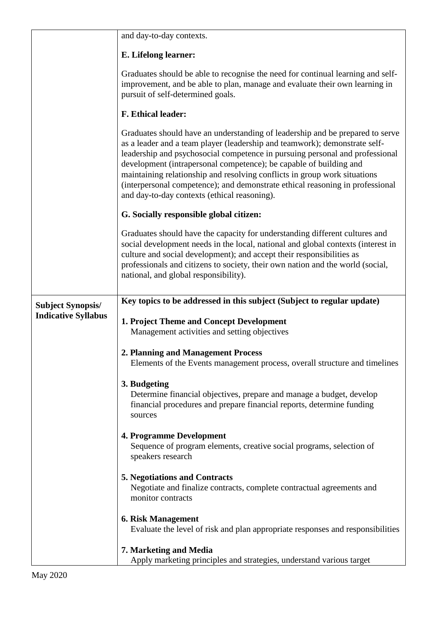|                                                        | and day-to-day contexts.                                                                                                                                                                                                                                                                                                                                                                                                                                                                                                        |
|--------------------------------------------------------|---------------------------------------------------------------------------------------------------------------------------------------------------------------------------------------------------------------------------------------------------------------------------------------------------------------------------------------------------------------------------------------------------------------------------------------------------------------------------------------------------------------------------------|
|                                                        | E. Lifelong learner:                                                                                                                                                                                                                                                                                                                                                                                                                                                                                                            |
|                                                        | Graduates should be able to recognise the need for continual learning and self-<br>improvement, and be able to plan, manage and evaluate their own learning in<br>pursuit of self-determined goals.                                                                                                                                                                                                                                                                                                                             |
|                                                        | F. Ethical leader:                                                                                                                                                                                                                                                                                                                                                                                                                                                                                                              |
|                                                        | Graduates should have an understanding of leadership and be prepared to serve<br>as a leader and a team player (leadership and teamwork); demonstrate self-<br>leadership and psychosocial competence in pursuing personal and professional<br>development (intrapersonal competence); be capable of building and<br>maintaining relationship and resolving conflicts in group work situations<br>(interpersonal competence); and demonstrate ethical reasoning in professional<br>and day-to-day contexts (ethical reasoning). |
|                                                        | G. Socially responsible global citizen:                                                                                                                                                                                                                                                                                                                                                                                                                                                                                         |
|                                                        | Graduates should have the capacity for understanding different cultures and<br>social development needs in the local, national and global contexts (interest in<br>culture and social development); and accept their responsibilities as<br>professionals and citizens to society, their own nation and the world (social,<br>national, and global responsibility).                                                                                                                                                             |
| <b>Subject Synopsis/</b><br><b>Indicative Syllabus</b> | Key topics to be addressed in this subject (Subject to regular update)                                                                                                                                                                                                                                                                                                                                                                                                                                                          |
|                                                        | 1. Project Theme and Concept Development<br>Management activities and setting objectives                                                                                                                                                                                                                                                                                                                                                                                                                                        |
|                                                        | 2. Planning and Management Process<br>Elements of the Events management process, overall structure and timelines                                                                                                                                                                                                                                                                                                                                                                                                                |
|                                                        | 3. Budgeting<br>Determine financial objectives, prepare and manage a budget, develop<br>financial procedures and prepare financial reports, determine funding<br>sources                                                                                                                                                                                                                                                                                                                                                        |
|                                                        | 4. Programme Development<br>Sequence of program elements, creative social programs, selection of<br>speakers research                                                                                                                                                                                                                                                                                                                                                                                                           |
|                                                        | <b>5. Negotiations and Contracts</b><br>Negotiate and finalize contracts, complete contractual agreements and<br>monitor contracts                                                                                                                                                                                                                                                                                                                                                                                              |
|                                                        | <b>6. Risk Management</b><br>Evaluate the level of risk and plan appropriate responses and responsibilities                                                                                                                                                                                                                                                                                                                                                                                                                     |
|                                                        | 7. Marketing and Media<br>Apply marketing principles and strategies, understand various target                                                                                                                                                                                                                                                                                                                                                                                                                                  |